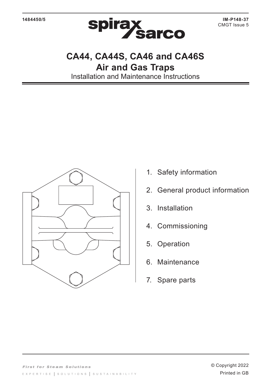**1484450/5**



# **CA44, CA44S, CA46 and CA46S Air and Gas Traps**

Installation and Maintenance Instructions



- 1. Safety information
- 2. General product information
- 3. Installation
- 4. Commissioning
- 5. Operation
- 6. Maintenance
- 7. Spare parts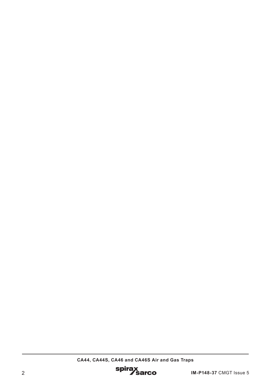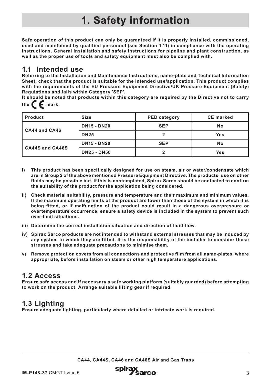# **1. Safety information**

**Safe operation of this product can only be guaranteed if it is properly installed, commissioned, used and maintained by qualified personnel (see Section 1.11) in compliance with the operating instructions. General installation and safety instructions for pipeline and plant construction, as well as the proper use of tools and safety equipment must also be complied with.**

## **1.1 Intended use**

**Referring to the Installation and Maintenance Instructions, name-plate and Technical Information Sheet, check that the product is suitable for the intended use/application. This product complies with the requirements of the EU Pressure Equipment Directive/UK Pressure Equipment (Safety) Regulations and falls within Category 'SEP'.** 

**It should be noted that products within this category are required by the Directive not to carry**  the  $\epsilon$  mark.

| Product<br><b>Size</b> |                    | <b>PED category</b> | <b>CE</b> marked |
|------------------------|--------------------|---------------------|------------------|
| CA44 and CA46          | <b>DN15 - DN20</b> | <b>SEP</b>          | No               |
|                        | <b>DN25</b>        |                     | Yes              |
| <b>CA44S and CA46S</b> | <b>DN15 - DN20</b> | <b>SEP</b>          | No               |
|                        | <b>DN25 - DN50</b> |                     | Yes              |

- **i) This product has been specifically designed for use on steam, air or water/condensate which are in Group 2 of the above mentioned Pressure Equipment Directive. The products' use on other fluids may be possible but, if this is contemplated, Spirax Sarco should be contacted to confirm the suitability of the product for the application being considered.**
- **ii) Check material suitability, pressure and temperature and their maximum and minimum values. If the maximum operating limits of the product are lower than those of the system in which it is being fitted, or if malfunction of the product could result in a dangerous overpressure or overtemperature occurrence, ensure a safety device is included in the system to prevent such over-limit situations.**
- **iii) Determine the correct installation situation and direction of fluid flow.**
- **iv) Spirax Sarco products are not intended to withstand external stresses that may be induced by any system to which they are fitted. It is the responsibility of the installer to consider these stresses and take adequate precautions to minimise them.**
- **v) Remove protection covers from all connections and protective film from all name-plates, where appropriate, before installation on steam or other high temperature applications.**

## **1.2 Access**

**Ensure safe access and if necessary a safe working platform (suitably guarded) before attempting to work on the product. Arrange suitable lifting gear if required.**

## **1.3 Lighting**

**Ensure adequate lighting, particularly where detailed or intricate work is required.**

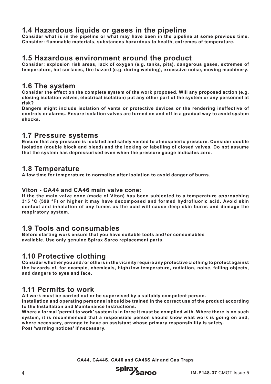## **1.4 Hazardous liquids or gases in the pipeline**

**Consider what is in the pipeline or what may have been in the pipeline at some previous time. Consider: flammable materials, substances hazardous to health, extremes of temperature.**

## **1.5 Hazardous environment around the product**

**Consider: explosion risk areas, lack of oxygen (e.g. tanks, pits), dangerous gases, extremes of temperature, hot surfaces, fire hazard (e.g. during welding), excessive noise, moving machinery.**

## **1.6 The system**

**Consider the effect on the complete system of the work proposed. Will any proposed action (e.g. closing isolation valves, electrical isolation) put any other part of the system or any personnel at risk?** 

**Dangers might include isolation of vents or protective devices or the rendering ineffective of controls or alarms. Ensure isolation valves are turned on and off in a gradual way to avoid system shocks.**

## **1.7 Pressure systems**

**Ensure that any pressure is isolated and safely vented to atmospheric pressure. Consider double isolation (double block and bleed) and the locking or labelling of closed valves. Do not assume that the system has depressurised even when the pressure gauge indicates zero.**

## **1.8 Temperature**

**Allow time for temperature to normalise after isolation to avoid danger of burns.**

#### **Viton - CA44 and CA46 main valve cone:**

**If the the main valve cone (made of Viton) has been subjected to a temperature approaching 315 °C (599 °F) or higher it may have decomposed and formed hydrofluoric acid. Avoid skin contact and inhalation of any fumes as the acid will cause deep skin burns and damage the respiratory system.**

## **1.9 Tools and consumables**

**Before starting work ensure that you have suitable tools and / or consumables available. Use only genuine Spirax Sarco replacement parts.**

## **1.10 Protective clothing**

**Consider whether you and / or others in the vicinity require any protective clothing to protect against the hazards of, for example, chemicals, high / low temperature, radiation, noise, falling objects, and dangers to eyes and face.**

## **1.11 Permits to work**

**All work must be carried out or be supervised by a suitably competent person.**

**Installation and operating personnel should be trained in the correct use of the product according to the Installation and Maintenance Instructions.**

**Where a formal 'permit to work' system is in force it must be complied with. Where there is no such system, it is recommended that a responsible person should know what work is going on and, where necessary, arrange to have an assistant whose primary responsibility is safety. Post 'warning notices' if necessary.**

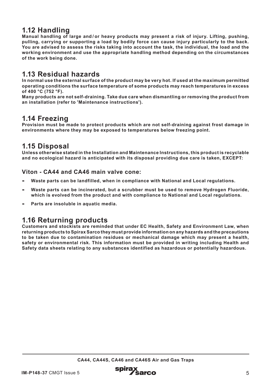## **1.12 Handling**

**Manual handling of large and / or heavy products may present a risk of injury. Lifting, pushing, pulling, carrying or supporting a load by bodily force can cause injury particularly to the back. You are advised to assess the risks taking into account the task, the individual, the load and the working environment and use the appropriate handling method depending on the circumstances of the work being done.**

## **1.13 Residual hazards**

**In normal use the external surface of the product may be very hot. If used at the maximum permitted operating conditions the surface temperature of some products may reach temperatures in excess of 400 °C (752 °F).**

**Many products are not self-draining. Take due care when dismantling or removing the product from an installation (refer to 'Maintenance instructions').**

## **1.14 Freezing**

**Provision must be made to protect products which are not self-draining against frost damage in environments where they may be exposed to temperatures below freezing point.**

## **1.15 Disposal**

**Unless otherwise stated in the Installation and Maintenance Instructions, this product is recyclable and no ecological hazard is anticipated with its disposal providing due care is taken, EXCEPT:**

#### **Viton - CA44 and CA46 main valve cone:**

- **- Waste parts can be landfilled, when in compliance with National and Local regulations.**
- **- Waste parts can be incinerated, but a scrubber must be used to remove Hydrogen Fluoride, which is evolved from the product and with compliance to National and Local regulations.**
- **- Parts are insoluble in aquatic media.**

## **1.16 Returning products**

**Customers and stockists are reminded that under EC Health, Safety and Environment Law, when returning products to Spirax Sarco they must provide information on any hazards and the precautions to be taken due to contamination residues or mechanical damage which may present a health, safety or environmental risk. This information must be provided in writing including Health and Safety data sheets relating to any substances identified as hazardous or potentially hazardous.**

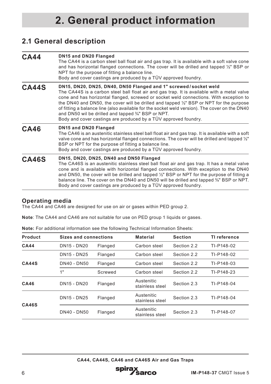## **2.1 General description**

| <b>CA44</b>  | DN15 and DN20 Flanged<br>The CA44 is a carbon steel ball float air and gas trap. It is available with a soft valve cone<br>and has horizontal flanged connections. The cover will be drilled and tapped 1/2" BSP or<br>NPT for the purpose of fitting a balance line.<br>Body and cover castings are produced by a TÜV approved foundry.                                                                                                                                                                                                                                       |  |  |  |  |
|--------------|--------------------------------------------------------------------------------------------------------------------------------------------------------------------------------------------------------------------------------------------------------------------------------------------------------------------------------------------------------------------------------------------------------------------------------------------------------------------------------------------------------------------------------------------------------------------------------|--|--|--|--|
| <b>CA44S</b> | DN15, DN20, DN25, DN40, DN50 Flanged and 1" screwed/socket weld<br>The CA44S is a carbon steel ball float air and gas trap. It is available with a metal valve<br>cone and has horizontal flanged, screwed or socket weld connections. With exception to<br>the DN40 and DN50, the cover will be drilled and tapped 1/2" BSP or NPT for the purpose<br>of fitting a balance line (also available for the socket weld version). The cover on the DN40<br>and DN50 wil be drilled and tapped 3/4" BSP or NPT.<br>Body and cover castings are produced by a TÜV approved foundry. |  |  |  |  |
| <b>CA46</b>  | DN15 and DN20 Flanged<br>The CA46 is an austenitic stainless steel ball float air and gas trap. It is available with a soft<br>valve cone and has horizontal flanged connections. The cover will be drilled and tapped 1/2"<br>BSP or NPT for the purpose of fitting a balance line.<br>Body and cover castings are produced by a TÜV approved foundry.                                                                                                                                                                                                                        |  |  |  |  |
| <b>CA46S</b> | DN15, DN20, DN25, DN40 and DN50 Flanged<br>The CA46S is an austenitic stainless steel ball float air and gas trap. It has a metal valve<br>cone and is available with horizontal flanged connections. With exception to the DN40<br>and DN50, the cover will be drilled and tapped $\frac{1}{2}$ " BSP or NPT for the purpose of fitting a<br>balance line. The cover on the DN40 and DN50 will be drilled and tapped 3/4" BSP or NPT.<br>Body and cover castings are produced by a TÜV approved foundry.                                                                      |  |  |  |  |

#### **Operating media**

The CA44 and CA46 are designed for use on air or gases within PED group 2.

**Note**: The CA44 and CA46 are not suitable for use on PED group 1 liquids or gases.

**Note:** For additional information see the following Technical Information Sheets:

| Product      | <b>Sizes and connections</b> |                         | <b>Material</b>               | <b>Section</b> | TI reference |
|--------------|------------------------------|-------------------------|-------------------------------|----------------|--------------|
| <b>CA44</b>  | DN15 - DN20                  | Carbon steel<br>Flanged |                               | Section 2.2    | TI-P148-02   |
|              | DN15 - DN25                  | Flanged                 | Carbon steel                  | Section 2.2    | TI-P148-02   |
| <b>CA44S</b> | <b>DN40 - DN50</b>           | Flanged                 | Carbon steel                  | Section 2.2    | TI-P148-03   |
|              | 1"                           | Screwed                 | Carbon steel                  | Section 2.2    | TI-P148-23   |
| CA46         | DN15 - DN20                  | Flanged                 | Austenitic<br>stainless steel | Section 2.3    | TI-P148-04   |
|              | DN15 - DN25                  | Flanged                 |                               | Section 2.3    | TI-P148-04   |
| <b>CA46S</b> | DN40 - DN50                  | Flanged                 | Austenitic<br>stainless steel | Section 2.3    | TI-P148-07   |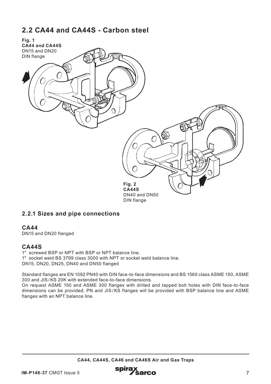## **2.2 CA44 and CA44S - Carbon steel**



### **2.2.1 Sizes and pipe connections**

#### **CA44**

DN15 and DN20 flanged

#### **CA44S**

1" screwed BSP or NPT with BSP or NPT balance line. 1" socket weld BS 3799 class 3000 with NPT or socket weld balance line. DN15, DN20, DN25, DN40 and DN50 flanged

Standard flanges are EN 1092 PN40 with DIN face-to-face dimensions and BS 1560 class ASME 150, ASME 300 and JIS/KS 20K with extended face-to-face dimensions.

On request ASME 150 and ASME 300 flanges with drilled and tapped bolt holes with DIN face-to-face dimensions can be provided. PN and JIS/KS flanges will be provided with BSP balance line and ASME flanges with an NPT balance line.

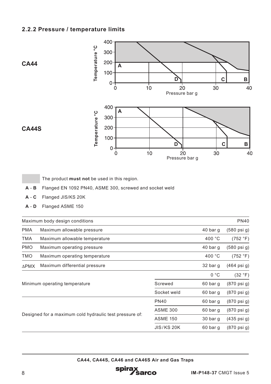### **2.2.2 Pressure / temperature limits**



The product **must not** be used in this region.

**A** - **B** Flanged EN 1092 PN40, ASME 300, screwed and socket weld

- **A C** Flanged JIS/KS 20K
- **A D** Flanged ASME 150

|            | Maximum body design conditions                          |                   |                       | <b>PN40</b>            |
|------------|---------------------------------------------------------|-------------------|-----------------------|------------------------|
| <b>PMA</b> | Maximum allowable pressure                              | 40 bar q          | $(580 \text{ psi g})$ |                        |
| TMA        | Maximum allowable temperature                           | 400 °C            | (752 °F)              |                        |
| <b>PMO</b> | Maximum operating pressure                              | 40 bar q          | (580 psi g)           |                        |
| TMO        | Maximum operating temperature                           | 400 °C            | (752 °F)              |                        |
| ΔPMX       | Maximum differential pressure                           | 32 bar q          | $(464 \text{ psi g})$ |                        |
|            |                                                         |                   | 0 °C                  | (32 °F)                |
|            | Minimum operating temperature                           | Screwed           | 60 bar q              | (870 psi g)            |
|            |                                                         | Socket weld       | 60 bar q              | (870 psi g)            |
|            |                                                         | <b>PN40</b>       | 60 bar q              | (870 psi g)            |
|            |                                                         | <b>ASME 300</b>   | 60 bar q              | (870 psi g)            |
|            | Designed for a maximum cold hydraulic test pressure of: | <b>ASME 150</b>   | 30 bar q              | $(435 \text{ psi } g)$ |
|            |                                                         | <b>JIS/KS 20K</b> | 60 bar q              | (870 psi g)            |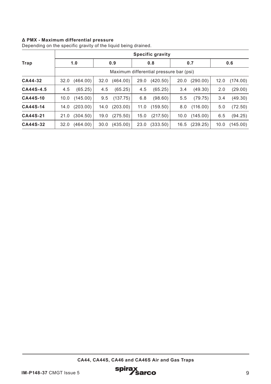#### **Δ PMX - Maximum differential pressure**

|           | <b>Specific gravity</b> |                                         |      |          |      |          |      |                   |      |          |  |
|-----------|-------------------------|-----------------------------------------|------|----------|------|----------|------|-------------------|------|----------|--|
| Trap      |                         | 1.0                                     |      | 0.9      |      | 0.8      |      | 0.7               |      | 0.6      |  |
|           |                         | Maximum differential pressure bar (psi) |      |          |      |          |      |                   |      |          |  |
| CA44-32   | 32.0                    | (464.00)                                | 32.0 | (464.00) | 29.0 | (420.50) | 20.0 | (290.00)          | 12.0 | (174.00) |  |
| CA44S-4.5 | 4.5                     | (65.25)                                 | 4.5  | (65.25)  | 4.5  | (65.25)  | 3.4  | (49.30)           | 2.0  | (29.00)  |  |
| CA44S-10  | 10.0                    | (145.00)                                | 9.5  | (137.75) | 6.8  | (98.60)  | 5.5  | (79.75)           | 3.4  | (49.30)  |  |
| CA44S-14  | 14.0                    | (203.00)                                | 14.0 | (203.00) | 11.0 | (159.50) | 8.0  | (116.00)          | 5.0  | (72.50)  |  |
| CA44S-21  | 21.0                    | (304.50)                                | 19.0 | (275.50) | 15.0 | (217.50) |      | $10.0$ $(145.00)$ | 6.5  | (94.25)  |  |
| CA44S-32  | 32.0                    | (464.00)                                | 30.0 | (435.00) | 23.0 | (333.50) | 16.5 | (239.25)          | 10.0 | (145.00) |  |

Depending on the specific gravity of the liquid being drained.

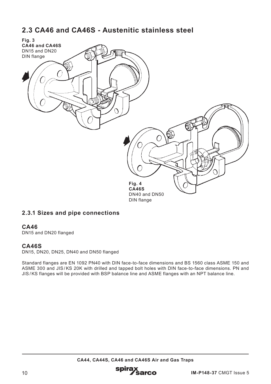## **2.3 CA46 and CA46S - Austenitic stainless steel**



## **2.3.1 Sizes and pipe connections**

### **CA46**

DN15 and DN20 flanged

### **CA46S**

DN15, DN20, DN25, DN40 and DN50 flanged

Standard flanges are EN 1092 PN40 with DIN face-to-face dimensions and BS 1560 class ASME 150 and ASME 300 and JIS/KS 20K with drilled and tapped bolt holes with DIN face-to-face dimensions. PN and JIS/KS flanges will be provided with BSP balance line and ASME flanges with an NPT balance line.

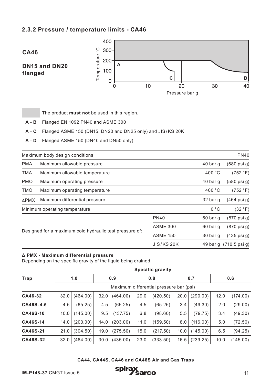### **2.3.2 Pressure / temperature limits - CA46**



The product **must not** be used in this region.

**A** - **B** Flanged EN 1092 PN40 and ASME 300

**A** - **C** Flanged ASME 150 (DN15, DN20 and DN25 only) and JIS/KS 20K

**A** - **D** Flanged ASME 150 (DN40 and DN50 only)

|                 | Maximum body design conditions                          |                   |                       | <b>PN40</b>            |  |  |
|-----------------|---------------------------------------------------------|-------------------|-----------------------|------------------------|--|--|
| <b>PMA</b>      | Maximum allowable pressure                              |                   | 40 bar q              | $(580 \text{ psi g})$  |  |  |
| <b>TMA</b>      | Maximum allowable temperature                           |                   | 400 °C                | (752 °F)               |  |  |
| <b>PMO</b>      | 40 bar q<br>Maximum operating pressure                  |                   |                       |                        |  |  |
| <b>TMO</b>      | Maximum operating temperature                           | 400 °C            | (752 °F)              |                        |  |  |
| $\triangle$ PMX | Maximum differential pressure                           | 32 bar q          | $(464 \text{ psi g})$ |                        |  |  |
|                 | Minimum operating temperature                           | 0 °C              |                       |                        |  |  |
|                 |                                                         | <b>PN40</b>       | 60 bar q              | $(870 \text{ psi } q)$ |  |  |
|                 |                                                         | <b>ASME 300</b>   | 60 bar q              | $(870 \text{ psi } q)$ |  |  |
|                 | Designed for a maximum cold hydraulic test pressure of: | <b>ASME 150</b>   | 30 bar q              | $(435 \text{ psi g})$  |  |  |
|                 |                                                         | <b>JIS/KS 20K</b> |                       | 49 bar q (710.5 psi q) |  |  |

#### **Δ PMX - Maximum differential pressure**

Depending on the specific gravity of the liquid being drained.

|           | <b>Specific gravity</b>                 |          |      |          |      |          |      |          |      |          |  |
|-----------|-----------------------------------------|----------|------|----------|------|----------|------|----------|------|----------|--|
| Trap      |                                         | 1.0      |      | 0.9      |      | 0.8      |      | 0.7      |      | 0.6      |  |
|           | Maximum differential pressure bar (psi) |          |      |          |      |          |      |          |      |          |  |
| CA46-32   | 32.0                                    | (464.00) | 32.0 | (464.00) | 29.0 | (420.50) | 20.0 | (290.00) | 12.0 | (174.00) |  |
| CA46S-4.5 | 4.5                                     | (65.25)  | 4.5  | (65.25)  | 4.5  | (65.25)  | 3.4  | (49.30)  | 2.0  | (29.00)  |  |
| CA46S-10  | 10.0                                    | (145.00) | 9.5  | (137.75) | 6.8  | (98.60)  | 5.5  | (79.75)  | 3.4  | (49.30)  |  |
| CA46S-14  | 14.0                                    | (203.00) | 14.0 | (203.00) | 11.0 | (159.50) | 8.0  | (116.00) | 5.0  | (72.50)  |  |
| CA46S-21  | 21.0                                    | (304.50) | 19.0 | (275.50) | 15.0 | (217.50) | 10.0 | (145.00) | 6.5  | (94.25)  |  |
| CA46S-32  | 32.0                                    | (464.00) | 30.0 | (435.00) | 23.0 | (333.50) | 16.5 | (239.25) | 10.0 | (145.00) |  |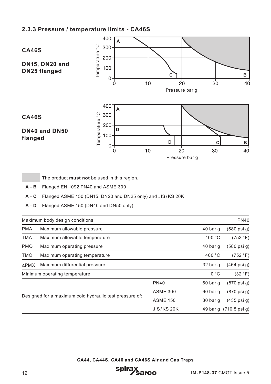### **2.3.3 Pressure / temperature limits - CA46S**



The product **must not** be used in this region.

- **A B** Flanged EN 1092 PN40 and ASME 300
- **A C** Flanged ASME 150 (DN15, DN20 and DN25 only) and JIS/KS 20K
- **A D** Flanged ASME 150 (DN40 and DN50 only)

|                 | Maximum body design conditions                                                           |                   |                        | <b>PN40</b>            |
|-----------------|------------------------------------------------------------------------------------------|-------------------|------------------------|------------------------|
| <b>PMA</b>      | Maximum allowable pressure                                                               |                   | 40 bar g               | $(580 \text{ psi g})$  |
| <b>TMA</b>      | Maximum allowable temperature                                                            |                   | 400 °C                 | (752 °F)               |
| <b>PMO</b>      | Maximum operating pressure                                                               | 40 bar q          | $(580 \text{ psi g})$  |                        |
| TMO             | Maximum operating temperature                                                            | 400 °C            | (752 °F)               |                        |
| $\triangle$ PMX | Maximum differential pressure                                                            | 32 bar q          | $(464 \text{ psi } q)$ |                        |
|                 |                                                                                          |                   | 0 °C                   | (32 °F)                |
|                 |                                                                                          | <b>PN40</b>       | 60 bar q               | $(870 \text{ psi } q)$ |
|                 |                                                                                          | <b>ASME 300</b>   | 60 bar q               | $(870 \text{ psi } q)$ |
|                 |                                                                                          | <b>ASME 150</b>   | 30 bar q               | $(435 \text{ psi } q)$ |
|                 | Minimum operating temperature<br>Designed for a maximum cold hydraulic test pressure of: | <b>JIS/KS 20K</b> |                        | 49 bar q (710.5 psi q) |
|                 |                                                                                          |                   |                        |                        |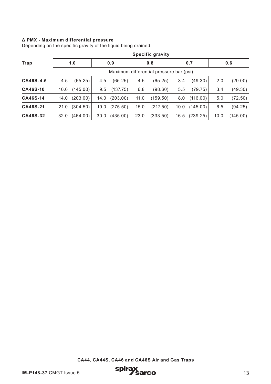#### **Δ PMX - Maximum differential pressure**

|           | <b>Specific gravity</b> |                                         |      |          |      |          |      |          |      |          |  |
|-----------|-------------------------|-----------------------------------------|------|----------|------|----------|------|----------|------|----------|--|
| Trap      |                         | 1.0                                     |      | 0.9      |      | 0.8      |      | 0.7      |      | 0.6      |  |
|           |                         | Maximum differential pressure bar (psi) |      |          |      |          |      |          |      |          |  |
| CA46S-4.5 | 4.5                     | (65.25)                                 | 4.5  | (65.25)  | 4.5  | (65.25)  | 3.4  | (49.30)  | 2.0  | (29.00)  |  |
| CA46S-10  | 10.0                    | (145.00)                                | 9.5  | (137.75) | 6.8  | (98.60)  | 5.5  | (79.75)  | 3.4  | (49.30)  |  |
| CA46S-14  | 14.0                    | (203.00)                                | 14.0 | (203.00) | 11.0 | (159.50) | 8.0  | (116.00) | 5.0  | (72.50)  |  |
| CA46S-21  | 21.0                    | (304.50)                                | 19.0 | (275.50) | 15.0 | (217.50) | 10.0 | (145.00) | 6.5  | (94.25)  |  |
| CA46S-32  | 32.0                    | (464.00)                                | 30.0 | (435.00) | 23.0 | (333.50) | 16.5 | (239.25) | 10.0 | (145.00) |  |

Depending on the specific gravity of the liquid being drained.

**IM-P148-37 CMGT Issue 5 13**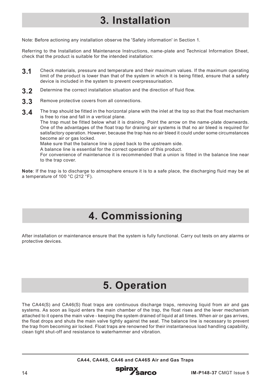# **3. Installation**

Note: Before actioning any installation observe the 'Safety information' in Section 1.

Referring to the Installation and Maintenance Instructions, name-plate and Technical Information Sheet, check that the product is suitable for the intended installation:

- **3.1** Check materials, pressure and temperature and their maximum values. If the maximum operating limit of the product is lower than that of the system in which it is being fitted, ensure that a safety device is included in the system to prevent overpressurisation.
- **3.2** Determine the correct installation situation and the direction of fluid flow.
- **3.3** Remove protective covers from all connections.
- **3.4** The trap should be fitted in the horizontal plane with the inlet at the top so that the float mechanism is free to rise and fall in a vertical plane.

The trap must be fitted below what it is draining. Point the arrow on the name-plate downwards. One of the advantages of the float trap for draining air systems is that no air bleed is required for satisfactory operation. However, because the trap has no air bleed it could under some circumstances become air or gas locked.

Make sure that the balance line is piped back to the upstream side.

A balance line is essential for the correct operation of this product.

For convenience of maintenance it is recommended that a union is fitted in the balance line near to the trap cover

**Note**: If the trap is to discharge to atmosphere ensure it is to a safe place, the discharging fluid may be at a temperature of 100 °C (212 °F).

# **4. Commissioning**

After installation or maintenance ensure that the system is fully functional. Carry out tests on any alarms or protective devices.

# **5. Operation**

The CA44(S) and CA46(S) float traps are continuous discharge traps, removing liquid from air and gas systems. As soon as liquid enters the main chamber of the trap, the float rises and the lever mechanism attached to it opens the main valve - keeping the system drained of liquid at all times. When air or gas arrives, the float drops and shuts the main valve tightly against the seat. The balance line is necessary to prevent the trap from becoming air locked. Float traps are renowned for their instantaneous load handling capability, clean tight shut-off and resistance to waterhammer and vibration.

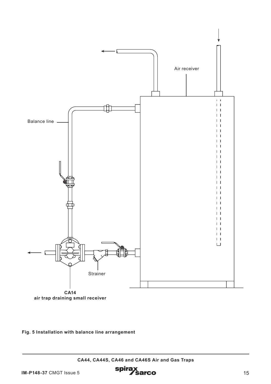

**Fig. 5 Installation with balance line arrangement**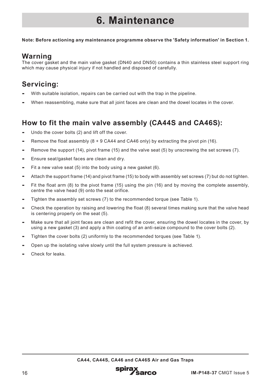# **6. Maintenance**

**Note: Before actioning any maintenance programme observe the 'Safety information' in Section 1.**

## **Warning**

The cover gasket and the main valve gasket (DN40 and DN50) contains a thin stainless steel support ring which may cause physical injury if not handled and disposed of carefully.

# **Servicing:**

- **-** With suitable isolation, repairs can be carried out with the trap in the pipeline.
- **-** When reassembling, make sure that all joint faces are clean and the dowel locates in the cover.

# **How to fit the main valve assembly (CA44S and CA46S):**

- Undo the cover bolts (2) and lift off the cover.
- **-** Remove the float assembly (8 + 9 CA44 and CA46 only) by extracting the pivot pin (16).
- **-** Remove the support (14), pivot frame (15) and the valve seat (5) by unscrewing the set screws (7).
- **-** Ensure seat/gasket faces are clean and dry.
- **-** Fit a new valve seat (5) into the body using a new gasket (6).
- **-** Attach the support frame (14) and pivot frame (15) to body with assembly set screws (7) but do not tighten.
- **-** Fit the float arm (8) to the pivot frame (15) using the pin (16) and by moving the complete assembly, centre the valve head (9) onto the seat orifice.
- **-** Tighten the assembly set screws (7) to the recommended torque (see Table 1).
- **-** Check the operation by raising and lowering the float (8) several times making sure that the valve head is centering properly on the seat (5).
- **-** Make sure that all joint faces are clean and refit the cover, ensuring the dowel locates in the cover, by using a new gasket (3) and apply a thin coating of an anti-seize compound to the cover bolts (2).
- **-** Tighten the cover bolts (2) uniformly to the recommended torques (see Table 1).
- **-** Open up the isolating valve slowly until the full system pressure is achieved.
- **-** Check for leaks.

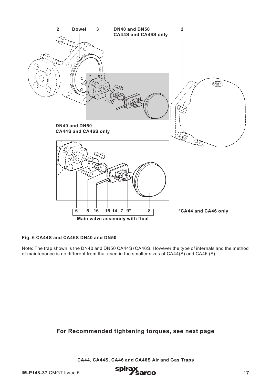

#### **Fig. 6 CA44S and CA46S DN40 and DN50**

Note: The trap shown is the DN40 and DN50 CA44S / CA46S. However the type of internals and the method of maintenance is no different from that used in the smaller sizes of CA44(S) and CA46 (S).

#### **For Recommended tightening torques, see next page**

**CA44, CA44S, CA46 and CA46S Air and Gas Traps**

**IM-P148-37** CMGT Issue 5 17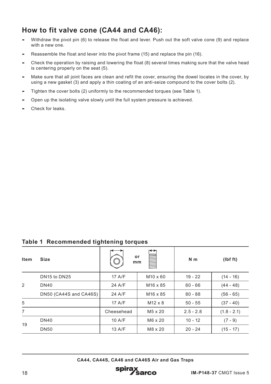# **How to fit valve cone (CA44 and CA46):**

- **-** Withdraw the pivot pin (6) to release the float and lever. Push out the soft valve cone (9) and replace with a new one.
- **-** Reassemble the float and lever into the pivot frame (15) and replace the pin (16).
- **-** Check the operation by raising and lowering the float (8) several times making sure that the valve head is centering properly on the seat (5).
- **-** Make sure that all joint faces are clean and refit the cover, ensuring the dowel locates in the cover, by using a new gasket (3) and apply a thin coating of an anti-seize compound to the cover bolts (2).
- **-** Tighten the cover bolts (2) uniformly to the recommended torques (see Table 1).
- **-** Open up the isolating valve slowly until the full system pressure is achieved.
- **-** Check for leaks.

## **Table 1 Recommended tightening torques**

| Item | Size                                 |            | ⊷<br>or<br>mm        | $N$ m       | (lbf ft)      |
|------|--------------------------------------|------------|----------------------|-------------|---------------|
|      | DN <sub>15</sub> to DN <sub>25</sub> | 17 A/F     | M <sub>10</sub> x 60 | $19 - 22$   | $(14 - 16)$   |
| 2    | <b>DN40</b>                          | 24 A/F     | M <sub>16</sub> x 85 | $60 - 66$   | $(44 - 48)$   |
|      | DN50 (CA44S and CA46S)               | 24 A/F     | M <sub>16</sub> x 85 | $80 - 88$   | $(56 - 65)$   |
| 5    |                                      | 17 A/F     | $M12 \times 8$       | $50 - 55$   | $(37 - 40)$   |
| 7    |                                      | Cheesehead | M <sub>5</sub> x 20  | $2.5 - 2.8$ | $(1.8 - 2.1)$ |
| 19   | <b>DN40</b>                          | 10 A/F     | M6 x 20              | $10 - 12$   | $(7 - 9)$     |
|      | <b>DN50</b>                          | 13 A/F     | M8 x 20              | $20 - 24$   | $(15 - 17)$   |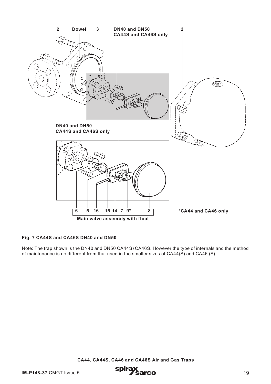

#### **Fig. 7 CA44S and CA46S DN40 and DN50**

Note: The trap shown is the DN40 and DN50 CA44S / CA46S. However the type of internals and the method of maintenance is no different from that used in the smaller sizes of CA44(S) and CA46 (S).